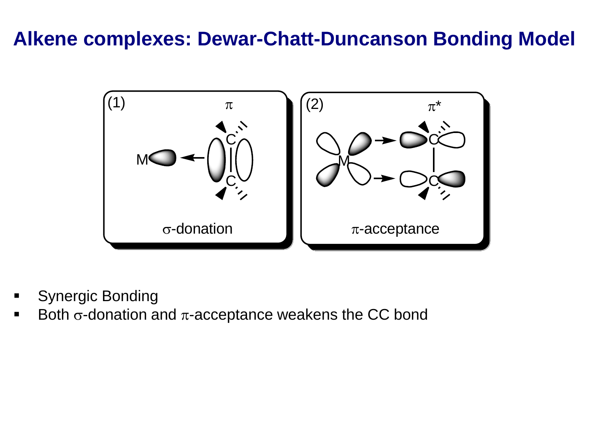### **Alkene complexes: Dewar-Chatt-Duncanson Bonding Model**



- Synergic Bonding
- Both  $\sigma$ -donation and  $\pi$ -acceptance weakens the CC bond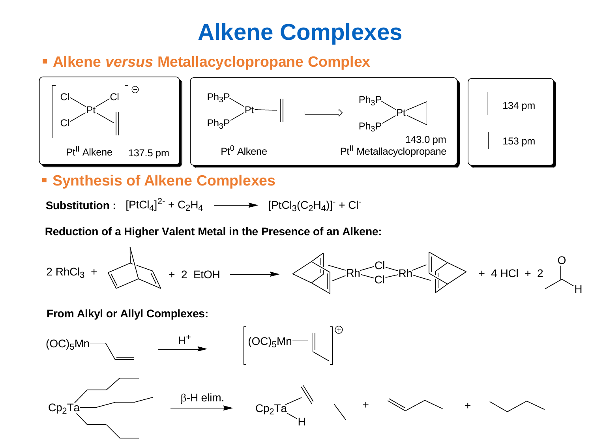## **Alkene Complexes**

### ▪ **Alkene** *versus* **Metallacyclopropane Complex**



### ▪ **Synthesis of Alkene Complexes**

**Substitution :** [PtCl<sup>4</sup> ] 2- + C2H<sup>4</sup> [PtCl3(C2H4)] - + Cl -

#### **Reduction of a Higher Valent Metal in the Presence of an Alkene:**



#### **From Alkyl or Allyl Complexes:**

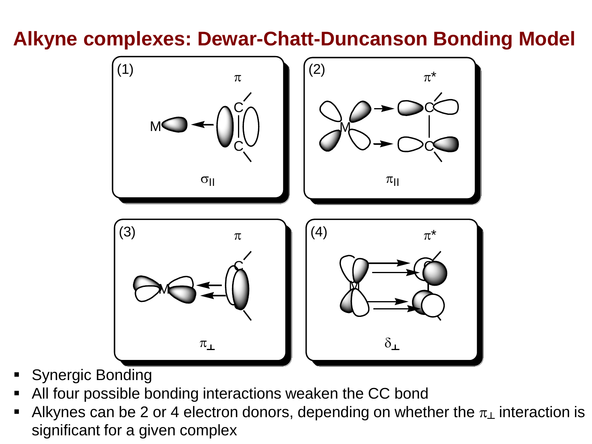### **Alkyne complexes: Dewar-Chatt-Duncanson Bonding Model**



- **Synergic Bonding**
- All four possible bonding interactions weaken the CC bond
- **EXERGE Alkynes can be 2 or 4 electron donors, depending on whether the**  $\pi_{\perp}$  **interaction is** significant for a given complex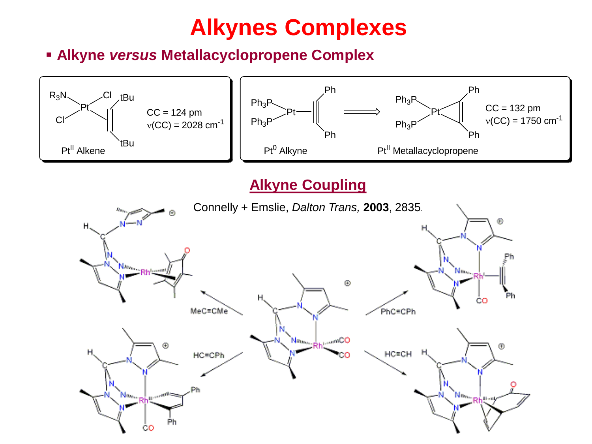# **Alkynes Complexes**

▪ **Alkyne** *versus* **Metallacyclopropene Complex**

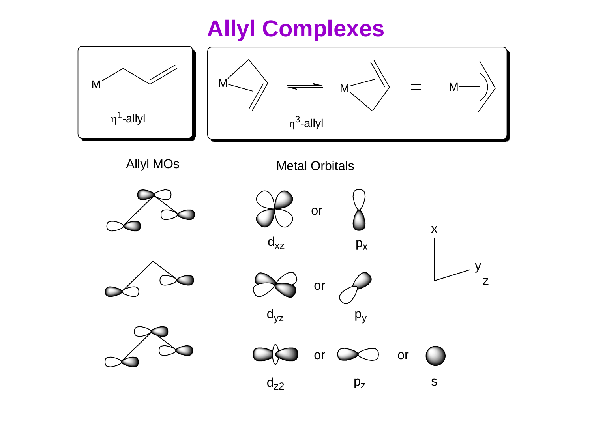# **Allyl Complexes**